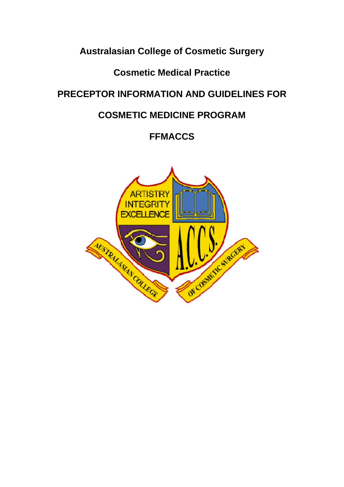# **Australasian College of Cosmetic Surgery**

# **Cosmetic Medical Practice**

# **PRECEPTOR INFORMATION AND GUIDELINES FOR**

# **COSMETIC MEDICINE PROGRAM**

# **FFMACCS**

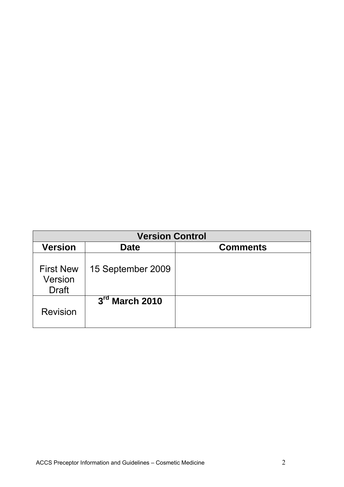|                                             | <b>Version Control</b> |                 |  |  |  |  |  |  |  |
|---------------------------------------------|------------------------|-----------------|--|--|--|--|--|--|--|
| <b>Version</b>                              | <b>Date</b>            | <b>Comments</b> |  |  |  |  |  |  |  |
| <b>First New</b><br>Version<br><b>Draft</b> | 15 September 2009      |                 |  |  |  |  |  |  |  |
| <b>Revision</b>                             | $3rd$ March 2010       |                 |  |  |  |  |  |  |  |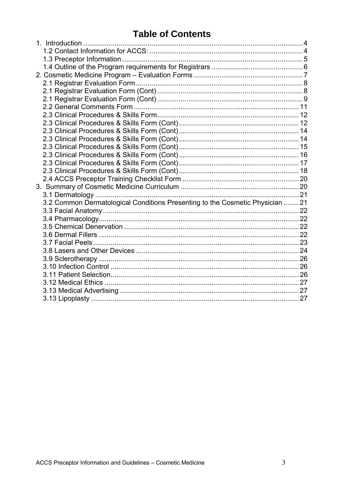# **Table of Contents**

| 3.2 Common Dermatological Conditions Presenting to the Cosmetic Physician  21 |  |
|-------------------------------------------------------------------------------|--|
|                                                                               |  |
|                                                                               |  |
|                                                                               |  |
|                                                                               |  |
|                                                                               |  |
|                                                                               |  |
|                                                                               |  |
|                                                                               |  |
|                                                                               |  |
|                                                                               |  |
|                                                                               |  |
|                                                                               |  |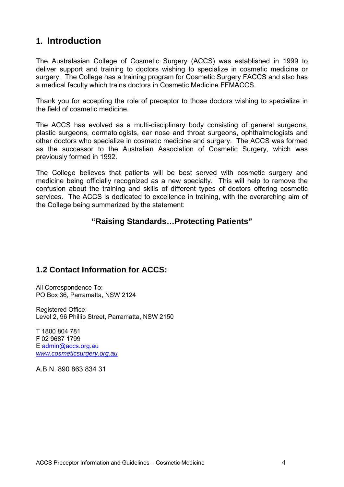# **1. Introduction**

The Australasian College of Cosmetic Surgery (ACCS) was established in 1999 to deliver support and training to doctors wishing to specialize in cosmetic medicine or surgery. The College has a training program for Cosmetic Surgery FACCS and also has a medical faculty which trains doctors in Cosmetic Medicine FFMACCS.

Thank you for accepting the role of preceptor to those doctors wishing to specialize in the field of cosmetic medicine.

The ACCS has evolved as a multi-disciplinary body consisting of general surgeons, plastic surgeons, dermatologists, ear nose and throat surgeons, ophthalmologists and other doctors who specialize in cosmetic medicine and surgery. The ACCS was formed as the successor to the Australian Association of Cosmetic Surgery, which was previously formed in 1992.

The College believes that patients will be best served with cosmetic surgery and medicine being officially recognized as a new specialty. This will help to remove the confusion about the training and skills of different types of doctors offering cosmetic services. The ACCS is dedicated to excellence in training, with the overarching aim of the College being summarized by the statement:

#### **"Raising Standards…Protecting Patients"**

#### **1.2 Contact Information for ACCS:**

All Correspondence To: PO Box 36, Parramatta, NSW 2124

Registered Office: Level 2, 96 Phillip Street, Parramatta, NSW 2150

T 1800 804 781 F 02 9687 1799 E admin@accs.org.au *www.cosmeticsurgery.org.au*

A.B.N. 890 863 834 31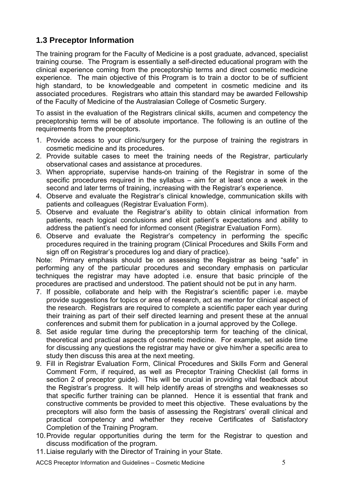### **1.3 Preceptor Information**

The training program for the Faculty of Medicine is a post graduate, advanced, specialist training course. The Program is essentially a self-directed educational program with the clinical experience coming from the preceptorship terms and direct cosmetic medicine experience. The main objective of this Program is to train a doctor to be of sufficient high standard, to be knowledgeable and competent in cosmetic medicine and its associated procedures. Registrars who attain this standard may be awarded Fellowship of the Faculty of Medicine of the Australasian College of Cosmetic Surgery.

To assist in the evaluation of the Registrars clinical skills, acumen and competency the preceptorship terms will be of absolute importance. The following is an outline of the requirements from the preceptors.

- 1. Provide access to your clinic/surgery for the purpose of training the registrars in cosmetic medicine and its procedures.
- 2. Provide suitable cases to meet the training needs of the Registrar, particularly observational cases and assistance at procedures.
- 3. When appropriate, supervise hands-on training of the Registrar in some of the specific procedures required in the syllabus – aim for at least once a week in the second and later terms of training, increasing with the Registrar's experience.
- 4. Observe and evaluate the Registrar's clinical knowledge, communication skills with patients and colleagues (Registrar Evaluation Form).
- 5. Observe and evaluate the Registrar's ability to obtain clinical information from patients, reach logical conclusions and elicit patient's expectations and ability to address the patient's need for informed consent (Registrar Evaluation Form).
- 6. Observe and evaluate the Registrar's competency in performing the specific procedures required in the training program (Clinical Procedures and Skills Form and sign off on Registrar's procedures log and diary of practice).

Note: Primary emphasis should be on assessing the Registrar as being "safe" in performing any of the particular procedures and secondary emphasis on particular techniques the registrar may have adopted i.e. ensure that basic principle of the procedures are practised and understood. The patient should not be put in any harm.

- 7. If possible, collaborate and help with the Registrar's scientific paper i.e. maybe provide suggestions for topics or area of research, act as mentor for clinical aspect of the research. Registrars are required to complete a scientific paper each year during their training as part of their self directed learning and present these at the annual conferences and submit them for publication in a journal approved by the College.
- 8. Set aside regular time during the preceptorship term for teaching of the clinical, theoretical and practical aspects of cosmetic medicine. For example, set aside time for discussing any questions the registrar may have or give him/her a specific area to study then discuss this area at the next meeting.
- 9. Fill in Registrar Evaluation Form, Clinical Procedures and Skills Form and General Comment Form, if required, as well as Preceptor Training Checklist (all forms in section 2 of preceptor guide). This will be crucial in providing vital feedback about the Registrar's progress. It will help identify areas of strengths and weaknesses so that specific further training can be planned. Hence it is essential that frank and constructive comments be provided to meet this objective. These evaluations by the preceptors will also form the basis of assessing the Registrars' overall clinical and practical competency and whether they receive Certificates of Satisfactory Completion of the Training Program.
- 10. Provide regular opportunities during the term for the Registrar to question and discuss modification of the program.
- 11. Liaise regularly with the Director of Training in your State.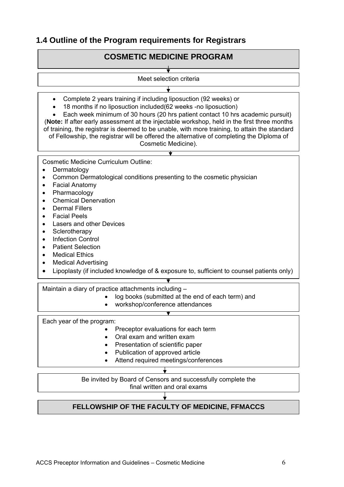### **1.4 Outline of the Program requirements for Registrars**

#### **COSMETIC MEDICINE PROGRAM**

Meet selection criteria  $\overline{\mathbf{t}}$  Complete 2 years training if including liposuction (92 weeks) or 18 months if no liposuction included(62 weeks -no liposuction) Each week minimum of 30 hours (20 hrs patient contact 10 hrs academic pursuit) (**Note:** If after early assessment at the injectable workshop, held in the first three months of training, the registrar is deemed to be unable, with more training, to attain the standard of Fellowship, the registrar will be offered the alternative of completing the Diploma of Cosmetic Medicine).  $\overline{\textbf{v}}$ Cosmetic Medicine Curriculum Outline: • Dermatology • Common Dermatological conditions presenting to the cosmetic physician Facial Anatomy Pharmacology Chemical Denervation Dermal Fillers Facial Peels Lasers and other Devices • Sclerotherapy • Infection Control Patient Selection Medical Ethics Medical Advertising Lipoplasty (if included knowledge of & exposure to, sufficient to counsel patients only)  $\overline{\textbf{v}}$ 

Maintain a diary of practice attachments including –

- log books (submitted at the end of each term) and
- workshop/conference attendances

Each year of the program:

- Preceptor evaluations for each term
- Oral exam and written exam
- Presentation of scientific paper
- Publication of approved article
- Attend required meetings/conferences

Be invited by Board of Censors and successfully complete the final written and oral exams

### **FELLOWSHIP OF THE FACULTY OF MEDICINE, FFMACCS**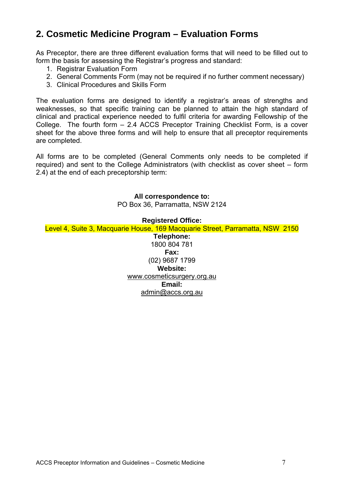# **2. Cosmetic Medicine Program – Evaluation Forms**

As Preceptor, there are three different evaluation forms that will need to be filled out to form the basis for assessing the Registrar's progress and standard:

- 1. Registrar Evaluation Form
- 2. General Comments Form (may not be required if no further comment necessary)
- 3. Clinical Procedures and Skills Form

The evaluation forms are designed to identify a registrar's areas of strengths and weaknesses, so that specific training can be planned to attain the high standard of clinical and practical experience needed to fulfil criteria for awarding Fellowship of the College. The fourth form – 2.4 ACCS Preceptor Training Checklist Form, is a cover sheet for the above three forms and will help to ensure that all preceptor requirements are completed.

All forms are to be completed (General Comments only needs to be completed if required) and sent to the College Administrators (with checklist as cover sheet – form 2.4) at the end of each preceptorship term:

#### **All correspondence to:**

PO Box 36, Parramatta, NSW 2124

#### **Registered Office:**

Level 4, Suite 3, Macquarie House, 169 Macquarie Street, Parramatta, NSW 2150

**Telephone:**  1800 804 781 **Fax:**  (02) 9687 1799 **Website:**  www.cosmeticsurgery.org.au **Email:**  admin@accs.org.au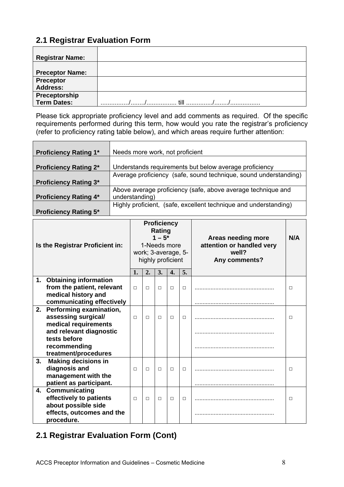# **2.1 Registrar Evaluation Form**

| <b>Registrar Name:</b> |  |
|------------------------|--|
|                        |  |
| <b>Preceptor Name:</b> |  |
| Preceptor              |  |
| <b>Address:</b>        |  |
| Preceptorship          |  |
| Term Dates:            |  |

Please tick appropriate proficiency level and add comments as required. Of the specific requirements performed during this term, how would you rate the registrar's proficiency (refer to proficiency rating table below), and which areas require further attention:

| <b>Proficiency Rating 1*</b> | Needs more work, not proficient                                  |
|------------------------------|------------------------------------------------------------------|
|                              |                                                                  |
| <b>Proficiency Rating 2*</b> | Understands requirements but below average proficiency           |
|                              | Average proficiency (safe, sound technique, sound understanding) |
| <b>Proficiency Rating 3*</b> |                                                                  |
|                              | Above average proficiency (safe, above average technique and     |
| <b>Proficiency Rating 4*</b> | understanding)                                                   |
|                              | Highly proficient, (safe, excellent technique and understanding) |
| <b>Proficiency Rating 5*</b> |                                                                  |

| Is the Registrar Proficient in: |                                                                                               |        | 1-Needs more<br>work; 3-average, 5-<br>highly proficient | <b>Proficiency</b><br>Rating<br>$1 - 5^*$ |        |        | Areas needing more<br>attention or handled very<br>well?<br>Any comments? | N/A |
|---------------------------------|-----------------------------------------------------------------------------------------------|--------|----------------------------------------------------------|-------------------------------------------|--------|--------|---------------------------------------------------------------------------|-----|
|                                 |                                                                                               | 1.     | 2.                                                       | 3.                                        | 4.     | 5.     |                                                                           |     |
| 1.                              | <b>Obtaining information</b>                                                                  |        |                                                          |                                           |        |        |                                                                           |     |
|                                 | from the patient, relevant                                                                    | $\Box$ | $\Box$                                                   | $\Box$                                    | $\Box$ | $\Box$ |                                                                           | □   |
|                                 | medical history and                                                                           |        |                                                          |                                           |        |        |                                                                           |     |
|                                 | communicating effectively                                                                     |        |                                                          |                                           |        |        |                                                                           |     |
| 2.                              | Performing examination,<br>assessing surgical/<br>medical requirements                        | $\Box$ | $\Box$                                                   | $\Box$                                    | П      | П      |                                                                           | п   |
|                                 | and relevant diagnostic<br>tests before                                                       |        |                                                          |                                           |        |        |                                                                           |     |
|                                 | recommending<br>treatment/procedures                                                          |        |                                                          |                                           |        |        |                                                                           |     |
| 3.                              | <b>Making decisions in</b><br>diagnosis and<br>management with the<br>patient as participant. | П      | $\Box$                                                   | $\Box$                                    | П      | $\Box$ |                                                                           | П   |
| 4.                              | Communicating                                                                                 |        |                                                          |                                           |        |        |                                                                           |     |
|                                 | effectively to patients<br>about possible side                                                | П      | $\Box$                                                   | $\Box$                                    | П      | п      |                                                                           | П   |
|                                 | effects, outcomes and the<br>procedure.                                                       |        |                                                          |                                           |        |        |                                                                           |     |

# **2.1 Registrar Evaluation Form (Cont)**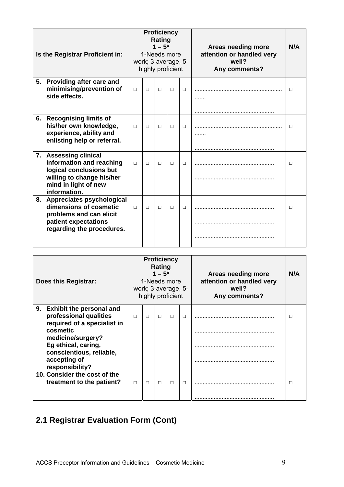|    | Is the Registrar Proficient in:                                                                                                                   | <b>Proficiency</b><br>Rating<br>$1 - 5^*$<br>1-Needs more<br>work; 3-average, 5-<br>highly proficient |        |        |        |        | Areas needing more<br>attention or handled very<br>well?<br>Any comments? | N/A |
|----|---------------------------------------------------------------------------------------------------------------------------------------------------|-------------------------------------------------------------------------------------------------------|--------|--------|--------|--------|---------------------------------------------------------------------------|-----|
| 5. | Providing after care and<br>minimising/prevention of<br>side effects.                                                                             | $\Box$                                                                                                | $\Box$ | $\Box$ | П      | $\Box$ | .                                                                         | □   |
| 6. | <b>Recognising limits of</b><br>his/her own knowledge,<br>experience, ability and<br>enlisting help or referral.                                  | $\Box$                                                                                                | $\Box$ | $\Box$ | $\Box$ | $\Box$ | .                                                                         | □   |
|    | 7. Assessing clinical<br>information and reaching<br>logical conclusions but<br>willing to change his/her<br>mind in light of new<br>information. | $\Box$                                                                                                | $\Box$ | $\Box$ | $\Box$ | $\Box$ |                                                                           | □   |
| 8. | Appreciates psychological<br>dimensions of cosmetic<br>problems and can elicit<br>patient expectations<br>regarding the procedures.               | $\Box$                                                                                                | $\Box$ | $\Box$ | п      | П      |                                                                           | П   |

| Does this Registrar:                                                                             |        |        | <b>Proficiency</b><br>Rating<br>$1 - 5^*$ | 1-Needs more<br>work; 3-average, 5-<br>highly proficient |        | Areas needing more<br>attention or handled very<br>well?<br>Any comments? | N/A |
|--------------------------------------------------------------------------------------------------|--------|--------|-------------------------------------------|----------------------------------------------------------|--------|---------------------------------------------------------------------------|-----|
| 9. Exhibit the personal and<br>professional qualities<br>required of a specialist in<br>cosmetic | $\Box$ | $\Box$ | $\Box$                                    | П                                                        | $\Box$ |                                                                           | □   |
| medicine/surgery?<br>Eg ethical, caring,<br>conscientious, reliable,                             |        |        |                                           |                                                          |        |                                                                           |     |
| accepting of<br>responsibility?                                                                  |        |        |                                           |                                                          |        |                                                                           |     |
| 10. Consider the cost of the<br>treatment to the patient?                                        | $\Box$ | $\Box$ | $\Box$                                    | П                                                        | $\Box$ |                                                                           | □   |
|                                                                                                  |        |        |                                           |                                                          |        |                                                                           |     |

# **2.1 Registrar Evaluation Form (Cont)**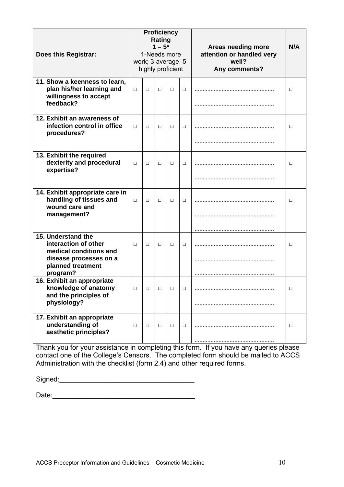| Does this Registrar:                                                                                                            | <b>Proficiency</b><br><b>Rating</b><br>$1 - 5^*$<br>1-Needs more<br>work; 3-average, 5-<br>highly proficient |        |        |        |        | Areas needing more<br>attention or handled very<br>well?<br>Any comments? | N/A    |
|---------------------------------------------------------------------------------------------------------------------------------|--------------------------------------------------------------------------------------------------------------|--------|--------|--------|--------|---------------------------------------------------------------------------|--------|
| 11. Show a keenness to learn,<br>plan his/her learning and<br>willingness to accept<br>feedback?                                | $\Box$                                                                                                       | $\Box$ | $\Box$ | $\Box$ | П      |                                                                           | □      |
| 12. Exhibit an awareness of<br>infection control in office<br>procedures?                                                       | $\Box$                                                                                                       | $\Box$ | П      | П      | $\Box$ |                                                                           | П      |
| 13. Exhibit the required<br>dexterity and procedural<br>expertise?                                                              | $\Box$                                                                                                       | $\Box$ | □      | П      | $\Box$ |                                                                           | □      |
| 14. Exhibit appropriate care in<br>handling of tissues and<br>wound care and<br>management?                                     | $\Box$                                                                                                       | $\Box$ | $\Box$ | П      | $\Box$ |                                                                           | $\Box$ |
| 15. Understand the<br>interaction of other<br>medical conditions and<br>disease processes on a<br>planned treatment<br>program? | П                                                                                                            | $\Box$ | $\Box$ | П      | $\Box$ |                                                                           | П      |
| 16. Exhibit an appropriate<br>knowledge of anatomy<br>and the principles of<br>physiology?                                      | $\Box$                                                                                                       | $\Box$ | $\Box$ | $\Box$ | $\Box$ |                                                                           | □      |
| 17. Exhibit an appropriate<br>understanding of<br>aesthetic principles?                                                         | $\Box$                                                                                                       | П      | $\Box$ | $\Box$ | $\Box$ |                                                                           | $\Box$ |

Thank you for your assistance in completing this form. If you have any queries please contact one of the College's Censors. The completed form should be mailed to ACCS Administration with the checklist (form 2.4) and other required forms.

Signed:\_\_\_\_\_\_\_\_\_\_\_\_\_\_\_\_\_\_\_\_\_\_\_\_\_\_\_\_\_\_\_\_\_\_\_

Date:\_\_\_\_\_\_\_\_\_\_\_\_\_\_\_\_\_\_\_\_\_\_\_\_\_\_\_\_\_\_\_\_\_\_\_\_\_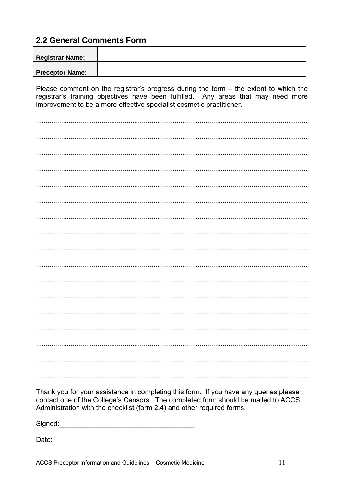### 2.2 General Comments Form

| <b>Registrar Name:</b> |  |
|------------------------|--|
|                        |  |
| <b>Preceptor Name:</b> |  |

Please comment on the registrar's progress during the term  $-$  the extent to which the registrar's training objectives have been fulfilled. Any areas that may need more improvement to be a more effective specialist cosmetic practitioner.

Thank you for your assistance in completing this form. If you have any queries please contact one of the College's Censors. The completed form should be mailed to ACCS Administration with the checklist (form 2.4) and other required forms.

Signed: the contract of the contract of the contract of the contract of the contract of the contract of the contract of the contract of the contract of the contract of the contract of the contract of the contract of the co

Date: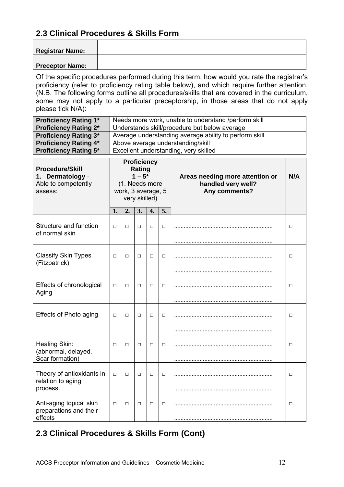Of the specific procedures performed during this term, how would you rate the registrar's proficiency (refer to proficiency rating table below), and which require further attention. (N.B. The following forms outline all procedures/skills that are covered in the curriculum, some may not apply to a particular preceptorship, in those areas that do not apply please tick N/A):

| Needs more work, unable to understand /perform skill   |
|--------------------------------------------------------|
| Understands skill/procedure but below average          |
| Average understanding average ability to perform skill |
| Above average understanding/skill                      |
| Excellent understanding, very skilled                  |
|                                                        |

| <b>Procedure/Skill</b><br>1. Dermatology -<br>Able to competently<br>assess: | <b>Proficiency</b><br>Rating<br>$1 - 5^*$<br>(1. Needs more<br>work, 3 average, 5<br>very skilled) |        |        |        |        | Areas needing more attention or<br>handled very well?<br>Any comments? | N/A    |
|------------------------------------------------------------------------------|----------------------------------------------------------------------------------------------------|--------|--------|--------|--------|------------------------------------------------------------------------|--------|
|                                                                              | 1.                                                                                                 | 2.     | 3.     | 4.     | 5.     |                                                                        |        |
| Structure and function<br>of normal skin                                     | $\Box$                                                                                             | $\Box$ | $\Box$ | $\Box$ | $\Box$ |                                                                        | $\Box$ |
| <b>Classify Skin Types</b><br>(Fitzpatrick)                                  | $\Box$                                                                                             | $\Box$ | $\Box$ | $\Box$ | $\Box$ |                                                                        | $\Box$ |
| Effects of chronological<br>Aging                                            | $\Box$                                                                                             | $\Box$ | $\Box$ | $\Box$ | □      |                                                                        | $\Box$ |
| Effects of Photo aging                                                       | $\Box$                                                                                             | $\Box$ | □      | $\Box$ | □      |                                                                        | $\Box$ |
| Healing Skin:<br>(abnormal, delayed,<br>Scar formation)                      | $\Box$                                                                                             | $\Box$ | □      | $\Box$ | □      |                                                                        | $\Box$ |
| Theory of antioxidants in<br>relation to aging<br>process.                   | $\Box$                                                                                             | $\Box$ | П      | $\Box$ | □      |                                                                        | $\Box$ |
| Anti-aging topical skin<br>preparations and their<br>effects                 | $\Box$                                                                                             | $\Box$ | □      | $\Box$ | □      |                                                                        | $\Box$ |

# **2.3 Clinical Procedures & Skills Form (Cont)**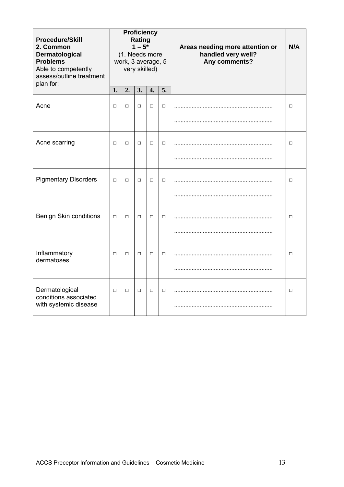| <b>Procedure/Skill</b><br>2. Common<br>Dermatological<br><b>Problems</b><br>Able to competently<br>assess/outline treatment<br>plan for: |        |        | Rating<br>$1 - 5^*$ | <b>Proficiency</b><br>(1. Needs more<br>work, 3 average, 5<br>very skilled) |        | Areas needing more attention or<br>handled very well?<br>Any comments? | N/A    |
|------------------------------------------------------------------------------------------------------------------------------------------|--------|--------|---------------------|-----------------------------------------------------------------------------|--------|------------------------------------------------------------------------|--------|
|                                                                                                                                          | 1.     | 2.     | 3.                  | 4.                                                                          | 5.     |                                                                        |        |
| Acne                                                                                                                                     | $\Box$ | $\Box$ | $\Box$              | $\Box$                                                                      | $\Box$ |                                                                        | $\Box$ |
|                                                                                                                                          |        |        |                     |                                                                             |        |                                                                        |        |
| Acne scarring                                                                                                                            | $\Box$ | $\Box$ | $\Box$              | $\Box$                                                                      | $\Box$ |                                                                        | $\Box$ |
|                                                                                                                                          |        |        |                     |                                                                             |        |                                                                        |        |
| <b>Pigmentary Disorders</b>                                                                                                              | $\Box$ | $\Box$ | $\Box$              | $\Box$                                                                      | $\Box$ |                                                                        | $\Box$ |
|                                                                                                                                          |        |        |                     |                                                                             |        |                                                                        |        |
| <b>Benign Skin conditions</b>                                                                                                            | $\Box$ | $\Box$ | $\Box$              | $\Box$                                                                      | $\Box$ |                                                                        | $\Box$ |
|                                                                                                                                          |        |        |                     |                                                                             |        |                                                                        |        |
| Inflammatory<br>dermatoses                                                                                                               | $\Box$ | $\Box$ | $\Box$              | $\Box$                                                                      | $\Box$ |                                                                        | $\Box$ |
|                                                                                                                                          |        |        |                     |                                                                             |        |                                                                        |        |
| Dermatological<br>conditions associated<br>with systemic disease                                                                         | $\Box$ | $\Box$ | $\Box$              | $\Box$                                                                      | $\Box$ |                                                                        | $\Box$ |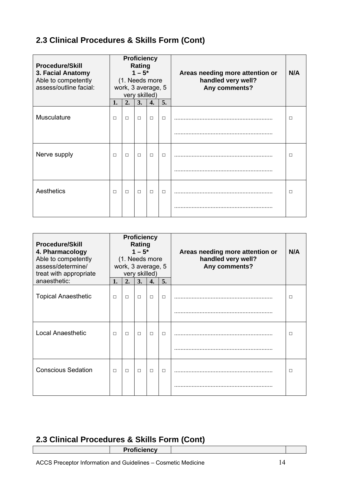| <b>Procedure/Skill</b><br>3. Facial Anatomy<br>Able to competently<br>assess/outline facial: |        |        | <b>Rating</b><br>$1 - 5^*$<br>very skilled) | <b>Proficiency</b><br>(1. Needs more<br>work, 3 average, 5 |        | Areas needing more attention or<br>handled very well?<br>Any comments? | N/A |
|----------------------------------------------------------------------------------------------|--------|--------|---------------------------------------------|------------------------------------------------------------|--------|------------------------------------------------------------------------|-----|
|                                                                                              | 1.     | 2.     | 3.                                          | 4.                                                         | 5.     |                                                                        |     |
| Musculature                                                                                  | $\Box$ | $\Box$ | $\Box$                                      | $\Box$                                                     | $\Box$ |                                                                        | П   |
|                                                                                              |        |        |                                             |                                                            |        |                                                                        |     |
| Nerve supply                                                                                 | $\Box$ | $\Box$ | $\Box$                                      | $\Box$                                                     | $\Box$ |                                                                        | □   |
|                                                                                              |        |        |                                             |                                                            |        |                                                                        |     |
| Aesthetics                                                                                   | $\Box$ | $\Box$ | $\Box$                                      | $\Box$                                                     | $\Box$ |                                                                        | □   |
|                                                                                              |        |        |                                             |                                                            |        |                                                                        |     |

| <b>Procedure/Skill</b><br>4. Pharmacology<br>Able to competently<br>assess/determine/<br>treat with appropriate |        | (1. Needs more<br>work, 3 average, 5 | <b>Rating</b><br>$1 - 5^*$<br>very skilled) | <b>Proficiency</b> |        | Areas needing more attention or<br>handled very well?<br>Any comments? | N/A |
|-----------------------------------------------------------------------------------------------------------------|--------|--------------------------------------|---------------------------------------------|--------------------|--------|------------------------------------------------------------------------|-----|
| anaesthetic:                                                                                                    | 1.     | 2.                                   | 3.                                          | 4.                 | 5.     |                                                                        |     |
| <b>Topical Anaesthetic</b>                                                                                      | $\Box$ | $\Box$                               | $\Box$                                      | $\Box$             | $\Box$ |                                                                        | □   |
|                                                                                                                 |        |                                      |                                             |                    |        |                                                                        |     |
| <b>Local Anaesthetic</b>                                                                                        | $\Box$ | $\Box$                               | $\Box$                                      | $\Box$             | $\Box$ |                                                                        | П   |
|                                                                                                                 |        |                                      |                                             |                    |        |                                                                        |     |
| <b>Conscious Sedation</b>                                                                                       | $\Box$ | $\Box$                               | $\Box$                                      | $\Box$             | $\Box$ |                                                                        | П   |
|                                                                                                                 |        |                                      |                                             |                    |        |                                                                        |     |

## **2.3 Clinical Procedures & Skills Form (Cont)**

**Proficiency**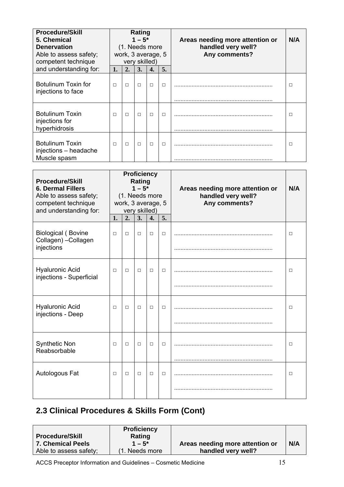| <b>Procedure/Skill</b><br>5. Chemical<br><b>Denervation</b><br>Able to assess safety;<br>competent technique |        | (1. Needs more<br>work, 3 average, 5 | Rating<br>$1 - 5^*$<br>very skilled) |        |        | Areas needing more attention or<br>handled very well?<br>Any comments? | N/A |
|--------------------------------------------------------------------------------------------------------------|--------|--------------------------------------|--------------------------------------|--------|--------|------------------------------------------------------------------------|-----|
| and understanding for:                                                                                       | 1.     | 2.                                   | 3.                                   | 4.     | 5.     |                                                                        |     |
| Botulinum Toxin for<br>injections to face                                                                    | П      | П                                    | $\Box$                               | $\Box$ | $\Box$ |                                                                        | □   |
| <b>Botulinum Toxin</b><br>injections for<br>hyperhidrosis                                                    | $\Box$ |                                      | $\Box$                               | $\Box$ | $\Box$ |                                                                        | П   |
| <b>Botulinum Toxin</b><br>injections - headache<br>Muscle spasm                                              | $\Box$ | П                                    | $\Box$                               | $\Box$ | $\Box$ |                                                                        | □   |

| <b>Procedure/Skill</b><br><b>6. Dermal Fillers</b><br>Able to assess safety;<br>competent technique<br>and understanding for: |        | (1. Needs more<br>work, 3 average, 5 | <b>Rating</b><br>$1 - 5^*$<br>very skilled) | <b>Proficiency</b> |        | Areas needing more attention or<br>handled very well?<br>Any comments? | N/A    |
|-------------------------------------------------------------------------------------------------------------------------------|--------|--------------------------------------|---------------------------------------------|--------------------|--------|------------------------------------------------------------------------|--------|
|                                                                                                                               | 1.     | 2.                                   | 3.                                          | 4.                 | 5.     |                                                                        |        |
| <b>Biological (Bovine</b><br>Collagen) - Collagen                                                                             | $\Box$ | $\Box$                               | $\Box$                                      | □                  | $\Box$ |                                                                        | $\Box$ |
| injections                                                                                                                    |        |                                      |                                             |                    |        |                                                                        |        |
| <b>Hyaluronic Acid</b><br>injections - Superficial                                                                            | $\Box$ | $\Box$                               | $\Box$                                      | П                  | $\Box$ |                                                                        | $\Box$ |
| <b>Hyaluronic Acid</b><br>injections - Deep                                                                                   | □      | $\Box$                               | $\Box$                                      | □                  | $\Box$ |                                                                        | $\Box$ |
| <b>Synthetic Non</b><br>Reabsorbable                                                                                          | $\Box$ | $\Box$                               | $\Box$                                      | $\Box$             | $\Box$ |                                                                        | $\Box$ |
| Autologous Fat                                                                                                                | П      | $\Box$                               | $\Box$                                      | □                  | $\Box$ |                                                                        | □      |
|                                                                                                                               |        |                                      |                                             |                    |        |                                                                        |        |

| <b>Procedure/Skill</b><br><b>7. Chemical Peels</b><br>Able to assess safety; | <b>Proficiency</b><br>Rating<br>$1 - 5^*$<br>(1. Needs more | Areas needing more attention or<br>handled very well? | N/A |
|------------------------------------------------------------------------------|-------------------------------------------------------------|-------------------------------------------------------|-----|
|------------------------------------------------------------------------------|-------------------------------------------------------------|-------------------------------------------------------|-----|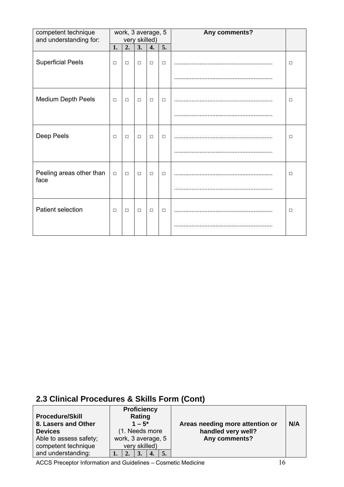| competent technique<br>and understanding for: |        | work, 3 average, 5 | very skilled) |        |        | Any comments? |        |
|-----------------------------------------------|--------|--------------------|---------------|--------|--------|---------------|--------|
|                                               | 1.     | 2.                 | 3.            | 4.     | 5.     |               |        |
| <b>Superficial Peels</b>                      | $\Box$ | $\Box$             | $\Box$        | $\Box$ | $\Box$ |               | $\Box$ |
|                                               |        |                    |               |        |        |               |        |
| <b>Medium Depth Peels</b>                     | $\Box$ | $\Box$             | $\Box$        | $\Box$ | $\Box$ |               | □      |
|                                               |        |                    |               |        |        |               |        |
| Deep Peels                                    | $\Box$ | $\Box$             | $\Box$        | $\Box$ | $\Box$ |               | $\Box$ |
|                                               |        |                    |               |        |        |               |        |
| Peeling areas other than<br>face              | $\Box$ | $\Box$             | $\Box$        | $\Box$ | $\Box$ |               | □      |
|                                               |        |                    |               |        |        |               |        |
| Patient selection                             | $\Box$ | $\Box$             | $\Box$        | $\Box$ | $\Box$ |               | $\Box$ |
|                                               |        |                    |               |        |        |               |        |

| <b>Procedure/Skill</b><br>8. Lasers and Other |  | <b>Proficiency</b><br>Rating<br>$1 - 5^*$ |    |    | Areas needing more attention or | N/A |
|-----------------------------------------------|--|-------------------------------------------|----|----|---------------------------------|-----|
| <b>Devices</b>                                |  | (1. Needs more                            |    |    | handled very well?              |     |
| Able to assess safety;                        |  | work, 3 average, 5                        |    |    | Any comments?                   |     |
| competent technique                           |  | very skilled)                             |    |    |                                 |     |
| and understanding:                            |  |                                           | 4. | 5. |                                 |     |

ACCS Preceptor Information and Guidelines – Cosmetic Medicine 16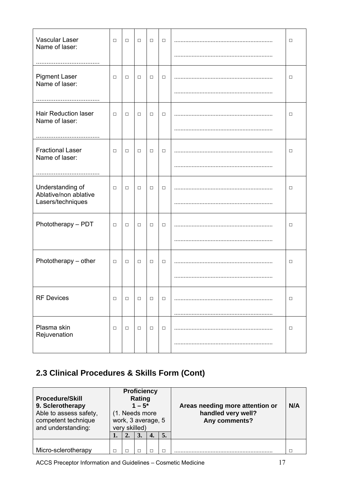| Vascular Laser<br>Name of laser:              | $\Box$ | $\Box$ | $\Box$ | $\Box$ | $\Box$ | $\Box$ |
|-----------------------------------------------|--------|--------|--------|--------|--------|--------|
|                                               |        |        |        |        |        |        |
| <b>Pigment Laser</b><br>Name of laser:        | $\Box$ | $\Box$ | $\Box$ | $\Box$ | $\Box$ | □      |
|                                               |        |        |        |        |        |        |
| <b>Hair Reduction laser</b><br>Name of laser: | $\Box$ | $\Box$ | $\Box$ | $\Box$ | $\Box$ | □      |
|                                               |        |        |        |        |        |        |
| <b>Fractional Laser</b><br>Name of laser:     | $\Box$ | $\Box$ | $\Box$ | $\Box$ | $\Box$ | □      |
|                                               |        |        |        |        |        |        |
| Understanding of<br>Ablative/non ablative     | □      | $\Box$ | $\Box$ | $\Box$ | $\Box$ | □      |
| Lasers/techniques                             |        |        |        |        |        |        |
| Phototherapy - PDT                            | $\Box$ | $\Box$ | $\Box$ | $\Box$ | $\Box$ | □      |
|                                               |        |        |        |        |        |        |
| Phototherapy - other                          | $\Box$ | $\Box$ | $\Box$ | $\Box$ | $\Box$ | $\Box$ |
|                                               |        |        |        |        |        |        |
| <b>RF Devices</b>                             | $\Box$ | $\Box$ | $\Box$ | $\Box$ | $\Box$ | □      |
|                                               |        |        |        |        |        |        |
| Plasma skin<br>Rejuvenation                   | $\Box$ | $\Box$ | $\Box$ | $\Box$ | $\Box$ | □      |
|                                               |        |        |        |        |        |        |

| <b>Procedure/Skill</b><br>9. Sclerotherapy<br>Able to assess safety,<br>competent technique<br>and understanding: |   | <b>Proficiency</b><br>Rating<br>$1 - 5^*$<br>(1. Needs more<br>very skilled) | work, 3 average, 5 |    | Areas needing more attention or<br>handled very well?<br>Any comments? | N/A |
|-------------------------------------------------------------------------------------------------------------------|---|------------------------------------------------------------------------------|--------------------|----|------------------------------------------------------------------------|-----|
|                                                                                                                   |   |                                                                              | 4.                 | 5. |                                                                        |     |
| Micro-sclerotherapy                                                                                               | п |                                                                              | П                  |    |                                                                        |     |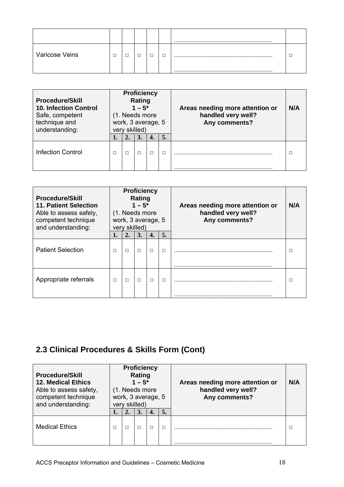| Varicose Veins | _ |  | – | $\sim$ |
|----------------|---|--|---|--------|

| <b>Procedure/Skill</b><br><b>10. Infection Control</b><br>Safe, competent<br>technique and<br>understanding: |   | <b>Proficiency</b><br>Rating<br>$1 - 5^*$<br>(1. Needs more<br>work, 3 average, 5<br>very skilled) |    |    | Areas needing more attention or<br>handled very well?<br>Any comments? | N/A |
|--------------------------------------------------------------------------------------------------------------|---|----------------------------------------------------------------------------------------------------|----|----|------------------------------------------------------------------------|-----|
|                                                                                                              |   | 3.                                                                                                 | 4. | 5. |                                                                        |     |
| <b>Infection Control</b>                                                                                     | П | п                                                                                                  | П  | п  |                                                                        |     |

| <b>Procedure/Skill</b><br>11. Patient Selection<br>Able to assess safely,<br>competent technique<br>and understanding: | <b>Proficiency</b><br>Rating<br>$1 - 5^*$<br>(1. Needs more<br>work, 3 average, 5<br>very skilled) |        |        |                  |        | Areas needing more attention or<br>handled very well?<br>Any comments? | N/A |
|------------------------------------------------------------------------------------------------------------------------|----------------------------------------------------------------------------------------------------|--------|--------|------------------|--------|------------------------------------------------------------------------|-----|
|                                                                                                                        |                                                                                                    | 2.     | 3.     | $\overline{4}$ . | 5.     |                                                                        |     |
| <b>Patient Selection</b>                                                                                               | $\Box$                                                                                             | $\Box$ | $\Box$ | $\Box$           | $\Box$ |                                                                        | П   |
| Appropriate referrals                                                                                                  | $\Box$                                                                                             | $\Box$ | П      | П                | П      |                                                                        | П   |

| <b>Procedure/Skill</b><br><b>12. Medical Ethics</b><br>Able to assess safety,<br>competent technique<br>and understanding: |    | <b>Proficiency</b><br>Rating<br>$1 - 5^*$<br>(1. Needs more<br>very skilled) | work, 3 average, 5 |    | Areas needing more attention or<br>handled very well?<br>Any comments? | N/A |
|----------------------------------------------------------------------------------------------------------------------------|----|------------------------------------------------------------------------------|--------------------|----|------------------------------------------------------------------------|-----|
|                                                                                                                            | 2. | 3.                                                                           | 4.                 | 5. |                                                                        |     |
| <b>Medical Ethics</b>                                                                                                      |    |                                                                              | $\Box$             |    |                                                                        |     |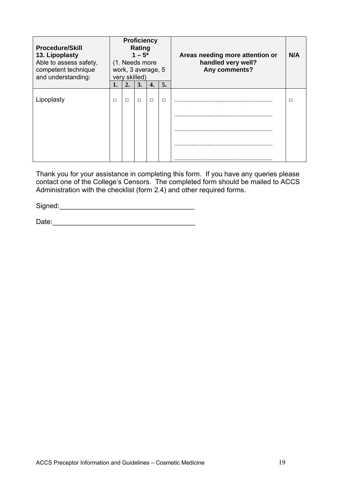| <b>Procedure/Skill</b><br>13. Lipoplasty<br>Able to assess safety,<br>competent technique<br>and understanding: |        |        | <b>Proficiency</b><br>Rating<br>$1 - 5^*$<br>(1. Needs more<br>very skilled) | work, 3 average, 5 |        | Areas needing more attention or<br>handled very well?<br>Any comments? | N/A |
|-----------------------------------------------------------------------------------------------------------------|--------|--------|------------------------------------------------------------------------------|--------------------|--------|------------------------------------------------------------------------|-----|
|                                                                                                                 | 1.     | 2.     | 3.                                                                           | 4.                 | 5.     |                                                                        |     |
| Lipoplasty                                                                                                      | $\Box$ | $\Box$ | П                                                                            | $\Box$             | $\Box$ |                                                                        | □   |
|                                                                                                                 |        |        |                                                                              |                    |        |                                                                        |     |
|                                                                                                                 |        |        |                                                                              |                    |        |                                                                        |     |
|                                                                                                                 |        |        |                                                                              |                    |        |                                                                        |     |
|                                                                                                                 |        |        |                                                                              |                    |        |                                                                        |     |

Thank you for your assistance in completing this form. If you have any queries please contact one of the College's Censors. The completed form should be mailed to ACCS Administration with the checklist (form 2.4) and other required forms.

Signed:\_\_\_\_\_\_\_\_\_\_\_\_\_\_\_\_\_\_\_\_\_\_\_\_\_\_\_\_\_\_\_\_\_\_\_

Date:\_\_\_\_\_\_\_\_\_\_\_\_\_\_\_\_\_\_\_\_\_\_\_\_\_\_\_\_\_\_\_\_\_\_\_\_\_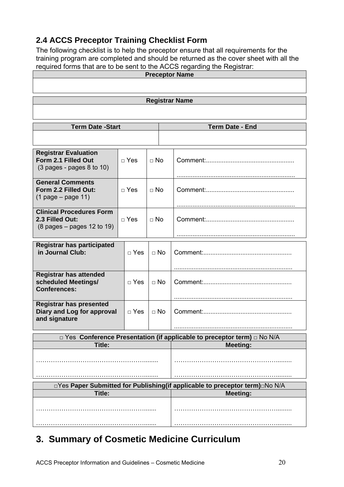# **2.4 ACCS Preceptor Training Checklist Form**

The following checklist is to help the preceptor ensure that all requirements for the training program are completed and should be returned as the cover sheet with all the required forms that are to be sent to the ACCS regarding the Registrar:

| <b>Preceptor Name</b>                                                                     |            |                        |                                                                          |  |  |  |  |  |
|-------------------------------------------------------------------------------------------|------------|------------------------|--------------------------------------------------------------------------|--|--|--|--|--|
|                                                                                           |            |                        |                                                                          |  |  |  |  |  |
| <b>Registrar Name</b>                                                                     |            |                        |                                                                          |  |  |  |  |  |
|                                                                                           |            |                        |                                                                          |  |  |  |  |  |
|                                                                                           |            |                        |                                                                          |  |  |  |  |  |
| <b>Term Date -Start</b>                                                                   |            | <b>Term Date - End</b> |                                                                          |  |  |  |  |  |
|                                                                                           |            |                        |                                                                          |  |  |  |  |  |
|                                                                                           |            |                        |                                                                          |  |  |  |  |  |
| <b>Registrar Evaluation</b><br>Form 2.1 Filled Out<br>$(3$ pages - pages 8 to 10)         | $\Box$ Yes | $\Box$ No              |                                                                          |  |  |  |  |  |
| <b>General Comments</b>                                                                   |            |                        |                                                                          |  |  |  |  |  |
| Form 2.2 Filled Out:                                                                      | $\Box$ Yes | $\Box$ No              |                                                                          |  |  |  |  |  |
| $(1$ page – page 11)                                                                      |            |                        |                                                                          |  |  |  |  |  |
| <b>Clinical Procedures Form</b>                                                           |            |                        |                                                                          |  |  |  |  |  |
| 2.3 Filled Out:                                                                           | $\Box$ Yes | $\Box$ No              |                                                                          |  |  |  |  |  |
| $(8 \text{ pages} - \text{pages} 12 \text{ to } 19)$                                      |            |                        |                                                                          |  |  |  |  |  |
|                                                                                           |            |                        |                                                                          |  |  |  |  |  |
| <b>Registrar has participated</b><br>in Journal Club:                                     | $\Box$ Yes | $\Box$ No              |                                                                          |  |  |  |  |  |
|                                                                                           |            |                        |                                                                          |  |  |  |  |  |
| <b>Registrar has attended</b><br>$\Box$ Yes<br>scheduled Meetings/<br><b>Conferences:</b> |            | $\Box$ No              |                                                                          |  |  |  |  |  |
|                                                                                           |            |                        |                                                                          |  |  |  |  |  |
| <b>Registrar has presented</b><br>Diary and Log for approval<br>and signature             | $\Box$ Yes | $\Box$ No              |                                                                          |  |  |  |  |  |
|                                                                                           |            |                        |                                                                          |  |  |  |  |  |
|                                                                                           |            |                        | □ Yes Conference Presentation (if applicable to preceptor term) □ No N/A |  |  |  |  |  |
| Title:                                                                                    |            |                        | <b>Meeting:</b>                                                          |  |  |  |  |  |
|                                                                                           |            |                        |                                                                          |  |  |  |  |  |
|                                                                                           |            |                        |                                                                          |  |  |  |  |  |
| □Yes Paper Submitted for Publishing(if applicable to preceptor term) No N/A               |            |                        |                                                                          |  |  |  |  |  |
| Title:                                                                                    |            | <b>Meeting:</b>        |                                                                          |  |  |  |  |  |
|                                                                                           |            |                        |                                                                          |  |  |  |  |  |
|                                                                                           |            |                        |                                                                          |  |  |  |  |  |

# **3. Summary of Cosmetic Medicine Curriculum**

 $\overline{\phantom{a}}$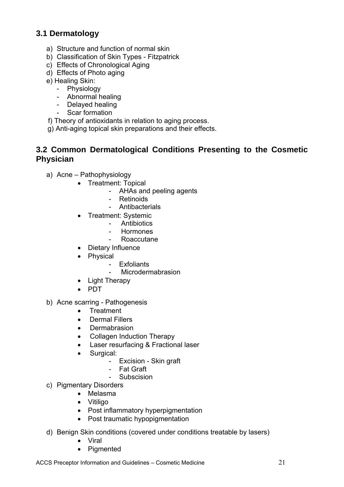### **3.1 Dermatology**

- a) Structure and function of normal skin
- b) Classification of Skin Types Fitzpatrick
- c) Effects of Chronological Aging
- d) Effects of Photo aging
- e) Healing Skin:
	- Physiology
	- Abnormal healing
	- Delayed healing
	- Scar formation
- f) Theory of antioxidants in relation to aging process.
- g) Anti-aging topical skin preparations and their effects.

#### **3.2 Common Dermatological Conditions Presenting to the Cosmetic Physician**

- a) Acne Pathophysiology
	- Treatment: Topical
		- AHAs and peeling agents
		- **Retinoids**
		- Antibacterials
	- Treatment: Systemic
		- Antibiotics
		- Hormones
		- **Roaccutane**
	- Dietary Influence
	- Physical
		- **Exfoliants**
		- Microdermabrasion
	- Light Therapy
	- $\bullet$  PDT
- b) Acne scarring Pathogenesis
	- **•** Treatment
	- Dermal Fillers
	- Dermabrasion
	- Collagen Induction Therapy
	- Laser resurfacing & Fractional laser
	- Surgical:
		- Excision Skin graft
		- Fat Graft
		- Subscision
- c) Pigmentary Disorders
	- Melasma
	- Vitiligo
	- Post inflammatory hyperpigmentation
	- Post traumatic hypopigmentation
- d) Benign Skin conditions (covered under conditions treatable by lasers)
	- Viral
	- Pigmented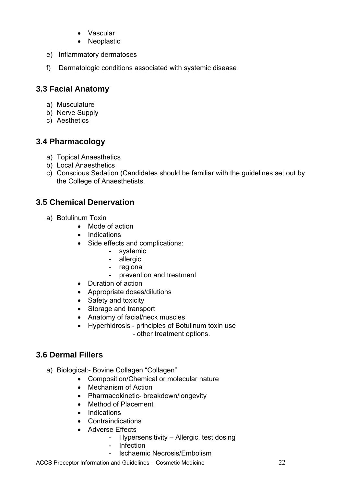- Vascular
- Neoplastic
- e) Inflammatory dermatoses
- f) Dermatologic conditions associated with systemic disease

### **3.3 Facial Anatomy**

- a) Musculature
- b) Nerve Supply
- c) Aesthetics

# **3.4 Pharmacology**

- a) Topical Anaesthetics
- b) Local Anaesthetics
- c) Conscious Sedation (Candidates should be familiar with the guidelines set out by the College of Anaesthetists.

# **3.5 Chemical Denervation**

- a) Botulinum Toxin
	- Mode of action
	- Indications
	- Side effects and complications:
		- systemic
		- allergic
		- regional
		- prevention and treatment
	- Duration of action
	- Appropriate doses/dilutions
	- Safety and toxicity
	- Storage and transport
	- Anatomy of facial/neck muscles
	- Hyperhidrosis principles of Botulinum toxin use - other treatment options.

### **3.6 Dermal Fillers**

- a) Biological:- Bovine Collagen "Collagen"
	- Composition/Chemical or molecular nature
	- Mechanism of Action
	- Pharmacokinetic- breakdown/longevity
	- Method of Placement
	- Indications
	- Contraindications
	- Adverse Effects
		- Hypersensitivity Allergic, test dosing
		- Infection
		- Ischaemic Necrosis/Embolism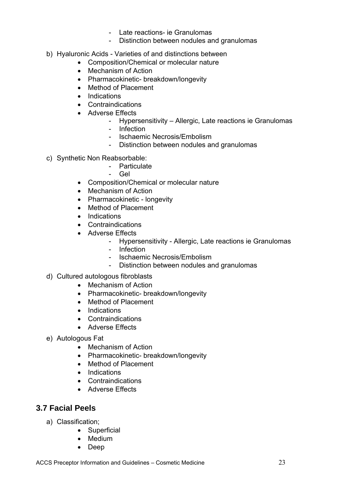- Late reactions- ie Granulomas
- Distinction between nodules and granulomas
- b) Hyaluronic Acids Varieties of and distinctions between
	- Composition/Chemical or molecular nature
	- Mechanism of Action
	- Pharmacokinetic- breakdown/longevity
	- Method of Placement
	- Indications
	- Contraindications
	- Adverse Effects
		- Hypersensitivity Allergic, Late reactions ie Granulomas
		- Infection
		- Ischaemic Necrosis/Embolism
		- Distinction between nodules and granulomas
- c) Synthetic Non Reabsorbable:
	- Particulate
	- Gel
	- Composition/Chemical or molecular nature
	- Mechanism of Action
	- Pharmacokinetic longevity
	- Method of Placement
	- Indications
	- Contraindications
	- Adverse Effects
		- Hypersensitivity Allergic, Late reactions ie Granulomas
		- Infection
		- Ischaemic Necrosis/Embolism
		- Distinction between nodules and granulomas
- d) Cultured autologous fibroblasts
	- Mechanism of Action
	- Pharmacokinetic- breakdown/longevity
	- Method of Placement
	- Indications
	- Contraindications
	- Adverse Effects
- e) Autologous Fat
	- Mechanism of Action
	- Pharmacokinetic- breakdown/longevity
	- Method of Placement
	- Indications
	- Contraindications
	- Adverse Effects

#### **3.7 Facial Peels**

- a) Classification;
	- Superficial
	- Medium
	- Deep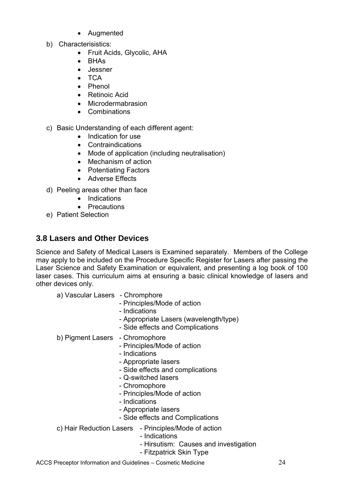- Augmented
- b) Characterisistics:
	- Fruit Acids, Glycolic, AHA
	- BHAs
	- Jessner
	- $\bullet$  TCA
	- Phenol
	- Retinoic Acid
	- Microdermabrasion
	- Combinations
- c) Basic Understanding of each different agent:
	- Indication for use
	- Contraindications
	- Mode of application (including neutralisation)
	- Mechanism of action
	- Potentiating Factors
	- Adverse Effects
- d) Peeling areas other than face
	- Indications
	- Precautions
- e) Patient Selection

### **3.8 Lasers and Other Devices**

Science and Safety of Medical Lasers is Examined separately. Members of the College may apply to be included on the Procedure Specific Register for Lasers after passing the Laser Science and Safety Examination or equivalent, and presenting a log book of 100 laser cases. This curriculum aims at ensuring a basic clinical knowledge of lasers and other devices only.

a) Vascular Lasers - Chromphore

- Principles/Mode of action
- Indications
- Appropriate Lasers (wavelength/type)
- Side effects and Complications

#### b) Pigment Lasers - Chromophore

- Principles/Mode of action
- Indications
- Appropriate lasers
- Side effects and complications
- Q-switched lasers
- Chromophore
- Principles/Mode of action
- Indications
- Appropriate lasers
- Side effects and Complications
- c) Hair Reduction Lasers Principles/Mode of action
	- Indications
	- Hirsutism: Causes and investigation
	- Fitzpatrick Skin Type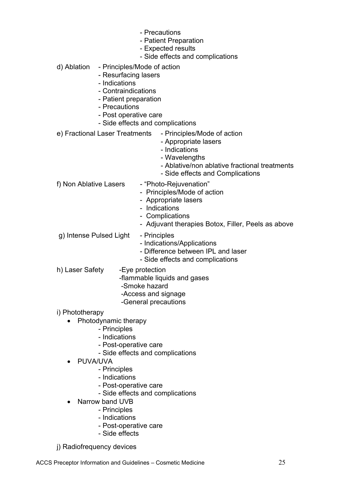- Precautions
- Patient Preparation
- Expected results
- Side effects and complications
- d) Ablation Principles/Mode of action
	- Resurfacing lasers
	- Indications
	- Contraindications
	- Patient preparation
	- Precautions
	- Post operative care
	- Side effects and complications

e) Fractional Laser Treatments - Principles/Mode of action

- Appropriate lasers
- Indications
- Wavelengths
- Ablative/non ablative fractional treatments
- Side effects and Complications
- f) Non Ablative Lasers "Photo-Rejuvenation"
	-
	- Principles/Mode of action
	- Appropriate lasers
	- Indications
	- Complications
	- Adjuvant therapies Botox, Filler, Peels as above
- g) Intense Pulsed Light Principles
	- Indications/Applications
	- Difference between IPL and laser
	- Side effects and complications
- h) Laser Safety Eye protection
	- -flammable liquids and gases
	- -Smoke hazard
	- -Access and signage
	- -General precautions
- i) Phototherapy
	- Photodynamic therapy
		- Principles
		- Indications
		- Post-operative care
		- Side effects and complications
	- PUVA/UVA
		- Principles
		- Indications
		- Post-operative care
		- Side effects and complications
		- Narrow band UVB
			- Principles
			- Indications
			- Post-operative care
			- Side effects
- j) Radiofrequency devices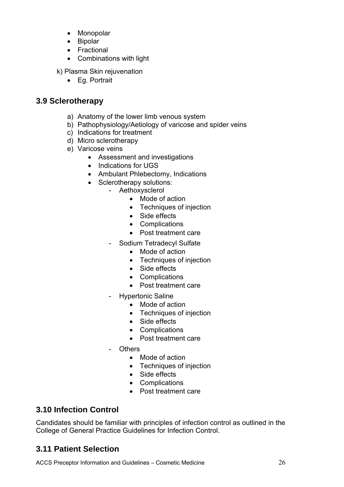- Monopolar
- Bipolar
- Fractional
- Combinations with light
- k) Plasma Skin rejuvenation
	- Eq. Portrait

### **3.9 Sclerotherapy**

- a) Anatomy of the lower limb venous system
- b) Pathophysiology/Aetiology of varicose and spider veins
- c) Indications for treatment
- d) Micro sclerotherapy
- e) Varicose veins
	- Assessment and investigations
	- Indications for UGS
	- Ambulant Phlebectomy, Indications
	- Sclerotherapy solutions:
		- Aethoxysclerol
			- Mode of action
			- Techniques of injection
			- Side effects
			- Complications
			- Post treatment care
		- Sodium Tetradecyl Sulfate
			- Mode of action
			- Techniques of injection
			- Side effects
			- Complications
			- Post treatment care
		- Hypertonic Saline
			- Mode of action
			- Techniques of injection
			- Side effects
			- Complications
			- Post treatment care
		- Others
			- Mode of action
			- Techniques of injection
			- Side effects
			- Complications
			- Post treatment care

# **3.10 Infection Control**

Candidates should be familiar with principles of infection control as outlined in the College of General Practice Guidelines for Infection Control.

# **3.11 Patient Selection**